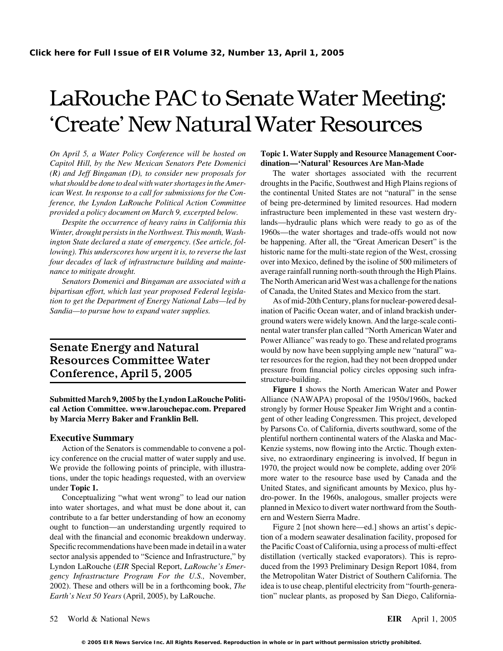## LaRouche PAC to Senate Water Meeting: 'Create' New Natural Water Resources

*On April 5, a Water Policy Conference will be hosted on* **Topic 1. Water Supply and Resource Management Coor-***Capitol Hill, by the New Mexican Senators Pete Domenici* **dination—'Natural' Resources Are Man-Made** *ference, the Lyndon LaRouche Political Action Committee* of being pre-determined by limited resources. Had modern *provided a policy document on March 9, excerpted below.* infrastructure been implemented in these vast western dry-

*Winter, drought persists in the Northwest. This month, Wash-* 1960s—the water shortages and trade-offs would not now *ington State declared a state of emergency. (See article, fol-* be happening. After all, the "Great American Desert" is the *lowing*). This underscores how urgent it is, to reverse the last historic name for the multi-state region of the West, crossing *four decades of lack of infrastructure building and mainte-* over into Mexico, defined by the isoline of 500 milimeters of *nance to mitigate drought.* average rainfall running north-south through the High Plains.

*bipartisan effort, which last year proposed Federal legisla-* of Canada, the United States and Mexico from the start. *tion to get the Department of Energy National Labs—led by* As of mid-20th Century, plans for nuclear-powered desal-

# **Conference, April 5, 2005** pressure from fina<br>structure-building.

**Submitted March 9, 2005 by the Lyndon LaRouche Politi-** Alliance (NAWAPA) proposal of the 1950s/1960s, backed **cal Action Committee. www.larouchepac.com. Prepared** strongly by former House Speaker Jim Wright and a contin**by Marcia Merry Baker and Franklin Bell.** gent of other leading Congressmen. This project, developed

icy conference on the crucial matter of water supply and use. sive, no extraordinary engineering is involved, If begun in We provide the following points of principle, with illustra- 1970, the project would now be complete, adding over 20% tions, under the topic headings requested, with an overview more water to the resource base used by Canada and the under **Topic 1.** United States, and significant amounts by Mexico, plus hy-

into water shortages, and what must be done about it, can planned in Mexico to divert water northward from the Southcontribute to a far better understanding of how an economy ern and Western Sierra Madre. ought to function—an understanding urgently required to Figure 2 [not shown here—ed.] shows an artist's depicdeal with the financial and economic breakdown underway. tion of a modern seawater desalination facility, proposed for Specific recommendations have been made in detail in a water the Pacific Coast of California, using a process of multi-effect sector analysis appended to "Science and Infrastructure," by distillation (vertically stacked evaporators). This is repro-Lyndon LaRouche (*EIR* Special Report, *LaRouche's Emer-* duced from the 1993 Preliminary Design Report 1084, from *gency Infrastructure Program For the U.S.,* November, the Metropolitan Water District of Southern California. The 2002). These and others will be in a forthcoming book, *The* idea is to use cheap, plentiful electricity from "fourth-genera-*Earth's Next 50 Years* (April, 2005), by LaRouche. tion" nuclear plants, as proposed by San Diego, California-

*(R) and Jeff Bingaman (D), to consider new proposals for* The water shortages associated with the recurrent *what should be done to deal with water shortages in the Amer-* droughts in the Pacific, Southwest and High Plains regions of *ican West. In response to a call for submissions for the Con-* the continental United States are not "natural" in the sense *Despite the occurrence of heavy rains in California this* lands—hydraulic plans which were ready to go as of the *Senators Domenici and Bingaman are associated with a* The North American arid West was a challenge for the nations

*Sandia—to pursue how to expand water supplies.* ination of Pacific Ocean water, and of inland brackish underground waters were widely known. And the large-scale continental water transfer plan called "North American Water and **Power Alliance" was ready to go. These and related programs**<br> **Senate Energy and Natural** would by now have been supplying ample new "natural" wa-Resources Committee Water ter resources for the region, had they not been dropped under<br>Conference April 5, 2005

**Figure 1** shows the North American Water and Power by Parsons Co. of California, diverts southward, some of the **Executive Summary Executive Summary plentiful northern continental waters of the Alaska and Mac-**Action of the Senators is commendable to convene a pol-<br>Kenzie systems, now flowing into the Arctic. Though exten-Conceptualizing "what went wrong" to lead our nation dro-power. In the 1960s, analogous, smaller projects were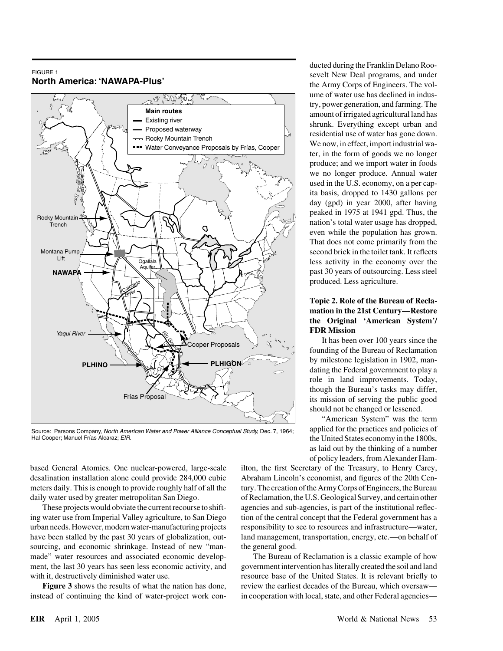## FIGURE 1 **North America: 'NAWAPA-Plus'**



Source: Parsons Company, North American Water and Power Alliance Conceptual Study, Dec. 7, 1964; Hal Cooper; Manuel Frías Alcaraz; EIR.

based General Atomics. One nuclear-powered, large-scale ilton, the first Secretary of the Treasury, to Henry Carey, desalination installation alone could provide 284,000 cubic Abraham Lincoln's economist, and figures of the 20th Cenmeters daily. This is enough to provide roughly half of all the tury. The creation of the Army Corps of Engineers, the Bureau

ing water use from Imperial Valley agriculture, to San Diego tion of the central concept that the Federal government has a urban needs. However, modern water-manufacturing projects responsibility to see to resources and infrastructure—water, have been stalled by the past 30 years of globalization, out-<br>land management, transportation, energy, etc.—on behalf of sourcing, and economic shrinkage. Instead of new "man- the general good. made" water resources and associated economic develop- The Bureau of Reclamation is a classic example of how ment, the last 30 years has seen less economic activity, and government intervention has literally created the soil and land with it, destructively diminished water use. resource base of the United States. It is relevant briefly to

instead of continuing the kind of water-project work con- in cooperation with local, state, and other Federal agencies—

ducted during the Franklin Delano Roosevelt New Deal programs, and under the Army Corps of Engineers. The volume of water use has declined in industry, power generation, and farming. The amount of irrigated agricultural land has shrunk. Everything except urban and residential use of water has gone down. We now, in effect, import industrial water, in the form of goods we no longer produce; and we import water in foods we no longer produce. Annual water used in the U.S. economy, on a per capita basis, dropped to 1430 gallons per day (gpd) in year 2000, after having peaked in 1975 at 1941 gpd. Thus, the nation's total water usage has dropped, even while the population has grown. That does not come primarily from the second brick in the toilet tank. It reflects less activity in the economy over the past 30 years of outsourcing. Less steel produced. Less agriculture.

## **Topic 2. Role of the Bureau of Reclamation in the 21st Century—Restore the Original 'American System'/ FDR Mission**

It has been over 100 years since the founding of the Bureau of Reclamation by milestone legislation in 1902, mandating the Federal government to play a role in land improvements. Today, though the Bureau's tasks may differ, its mission of serving the public good should not be changed or lessened.

"American System" was the term applied for the practices and policies of the United States economy in the 1800s, as laid out by the thinking of a number of policy leaders, from Alexander Ham-

daily water used by greater metropolitan San Diego. of Reclamation, the U.S. Geological Survey, and certain other These projects would obviate the current recourse to shift- agencies and sub-agencies, is part of the institutional reflec-

**Figure 3** shows the results of what the nation has done, review the earliest decades of the Bureau, which oversaw—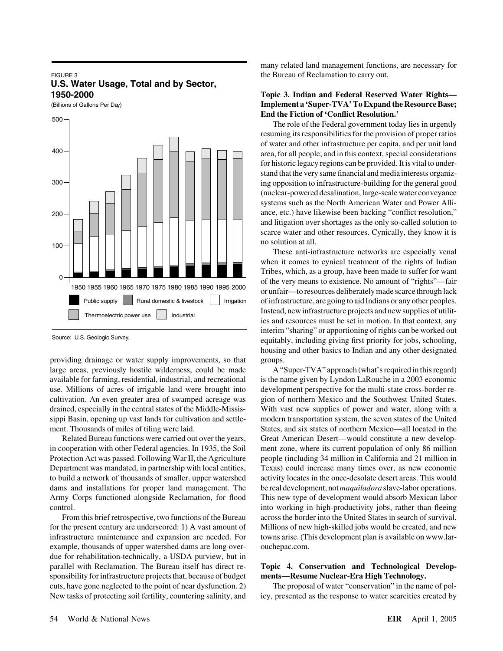#### FIGURE 3 **U.S. Water Usage, Total and by Sector, 1950-2000**

(Billions of Gallons Per Day)



Source: U.S. Geologic Survey.

providing drainage or water supply improvements, so that groups. large areas, previously hostile wilderness, could be made A "Super-TVA" approach (what's required in this regard) available for farming, residential, industrial, and recreational is the name given by Lyndon LaRouche in a 2003 economic use. Millions of acres of irrigable land were brought into development perspective for the multi-state cross-border recultivation. An even greater area of swamped acreage was gion of northern Mexico and the Southwest United States. drained, especially in the central states of the Middle-Missis- With vast new supplies of power and water, along with a sippi Basin, opening up vast lands for cultivation and settle- modern transportation system, the seven states of the United ment. Thousands of miles of tiling were laid. States, and six states of northern Mexico—all located in the

example, thousands of upper watershed dams are long over- ouchepac.com. due for rehabilitation-technically, a USDA purview, but in parallel with Reclamation. The Bureau itself has direct re- **Topic 4. Conservation and Technological Develop**sponsibility for infrastructure projects that, because of budget **ments—Resume Nuclear-Era High Technology.** cuts, have gone neglected to the point of near dysfunction. 2) The proposal of water "conservation" in the name of pol-

many related land management functions, are necessary for the Bureau of Reclamation to carry out.

### **Topic 3. Indian and Federal Reserved Water Rights— Implement a 'Super-TVA'To Expand the Resource Base; End the Fiction of 'Conflict Resolution.'**

The role of the Federal government today lies in urgently resuming its responsibilities for the provision of proper ratios of water and other infrastructure per capita, and per unit land area, for all people; and in this context, special considerations for historic legacy regions can be provided. It is vital to understand that the very same financial and media interests organizing opposition to infrastructure-building for the general good (nuclear-powered desalination, large-scale water conveyance systems such as the North American Water and Power Alliance, etc.) have likewise been backing "conflict resolution," and litigation over shortages as the only so-called solution to scarce water and other resources. Cynically, they know it is no solution at all.

These anti-infrastructure networks are especially venal when it comes to cynical treatment of the rights of Indian Tribes, which, as a group, have been made to suffer for want of the very means to existence. No amount of "rights"—fair or unfair—to resources deliberately made scarce through lack of infrastructure, are going to aid Indians or any other peoples. Instead, new infrastructure projects and new supplies of utilities and resources must be set in motion. In that context, any interim "sharing" or apportioning of rights can be worked out equitably, including giving first priority for jobs, schooling, housing and other basics to Indian and any other designated

Related Bureau functions were carried out over the years, Great American Desert—would constitute a new developin cooperation with other Federal agencies. In 1935, the Soil ment zone, where its current population of only 86 million Protection Act was passed. Following War II, the Agriculture people (including 34 million in California and 21 million in Department was mandated, in partnership with local entities, Texas) could increase many times over, as new economic to build a network of thousands of smaller, upper watershed activity locates in the once-desolate desert areas. This would dams and installations for proper land management. The be real development, not*maquiladora* slave-labor operations. Army Corps functioned alongside Reclamation, for flood This new type of development would absorb Mexican labor control. into working in high-productivity jobs, rather than fleeing From this brief retrospective, two functions of the Bureau across the border into the United States in search of survival. for the present century are underscored: 1) A vast amount of Millions of new high-skilled jobs would be created, and new infrastructure maintenance and expansion are needed. For towns arise. (This development plan is available on www.lar-

New tasks of protecting soil fertility, countering salinity, and icy, presented as the response to water scarcities created by